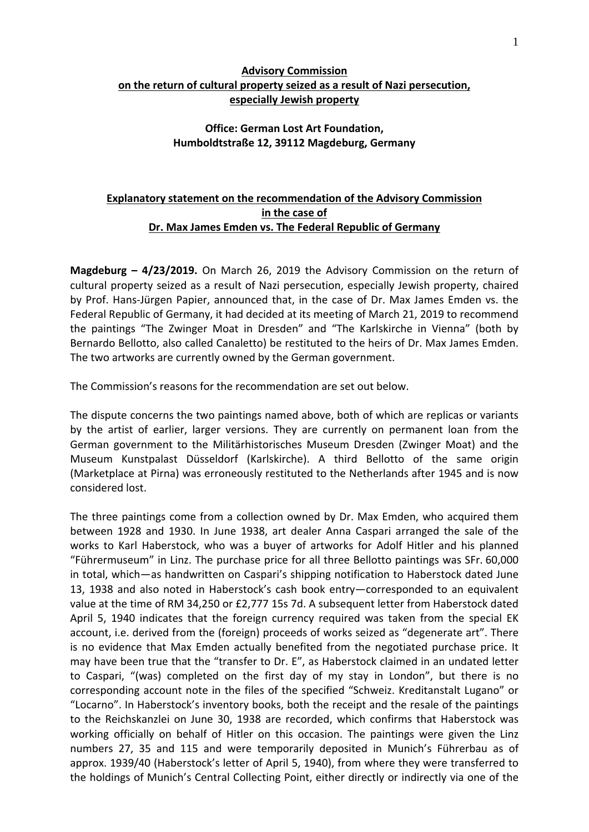## **Advisory Commission on the return of cultural property seized as a result of Nazi persecution, especially Jewish property**

## **Office: German Lost Art Foundation, Humboldtstraße 12, 39112 Magdeburg, Germany**

## **Explanatory statement on the recommendation of the Advisory Commission in the case of Dr. Max James Emden vs. The Federal Republic of Germany**

**Magdeburg – 4/23/2019.** On March 26, 2019 the Advisory Commission on the return of cultural property seized as a result of Nazi persecution, especially Jewish property, chaired by Prof. Hans‐Jürgen Papier, announced that, in the case of Dr. Max James Emden vs. the Federal Republic of Germany, it had decided at its meeting of March 21, 2019 to recommend the paintings "The Zwinger Moat in Dresden" and "The Karlskirche in Vienna" (both by Bernardo Bellotto, also called Canaletto) be restituted to the heirs of Dr. Max James Emden. The two artworks are currently owned by the German government.

The Commission's reasons for the recommendation are set out below.

The dispute concerns the two paintings named above, both of which are replicas or variants by the artist of earlier, larger versions. They are currently on permanent loan from the German government to the Militärhistorisches Museum Dresden (Zwinger Moat) and the Museum Kunstpalast Düsseldorf (Karlskirche). A third Bellotto of the same origin (Marketplace at Pirna) was erroneously restituted to the Netherlands after 1945 and is now considered lost.

The three paintings come from a collection owned by Dr. Max Emden, who acquired them between 1928 and 1930. In June 1938, art dealer Anna Caspari arranged the sale of the works to Karl Haberstock, who was a buyer of artworks for Adolf Hitler and his planned "Führermuseum" in Linz. The purchase price for all three Bellotto paintings was SFr. 60,000 in total, which—as handwritten on Caspari's shipping notification to Haberstock dated June 13, 1938 and also noted in Haberstock's cash book entry—corresponded to an equivalent value at the time of RM 34,250 or £2,777 15s 7d. A subsequent letter from Haberstock dated April 5, 1940 indicates that the foreign currency required was taken from the special EK account, i.e. derived from the (foreign) proceeds of works seized as "degenerate art". There is no evidence that Max Emden actually benefited from the negotiated purchase price. It may have been true that the "transfer to Dr. E", as Haberstock claimed in an undated letter to Caspari, "(was) completed on the first day of my stay in London", but there is no corresponding account note in the files of the specified "Schweiz. Kreditanstalt Lugano" or "Locarno". In Haberstock's inventory books, both the receipt and the resale of the paintings to the Reichskanzlei on June 30, 1938 are recorded, which confirms that Haberstock was working officially on behalf of Hitler on this occasion. The paintings were given the Linz numbers 27, 35 and 115 and were temporarily deposited in Munich's Führerbau as of approx. 1939/40 (Haberstock's letter of April 5, 1940), from where they were transferred to the holdings of Munich's Central Collecting Point, either directly or indirectly via one of the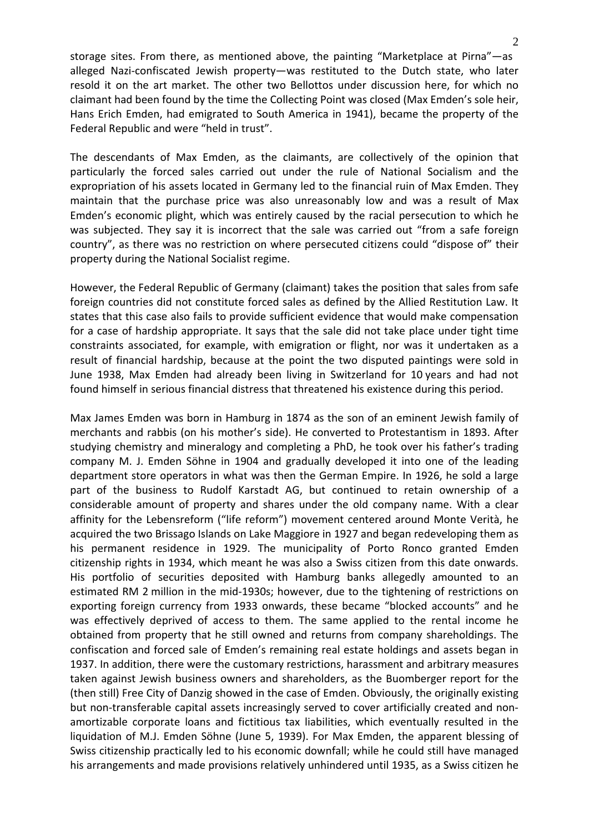storage sites. From there, as mentioned above, the painting "Marketplace at Pirna"—as alleged Nazi-confiscated Jewish property—was restituted to the Dutch state, who later resold it on the art market. The other two Bellottos under discussion here, for which no claimant had been found by the time the Collecting Point was closed (Max Emden's sole heir, Hans Erich Emden, had emigrated to South America in 1941), became the property of the Federal Republic and were "held in trust".

The descendants of Max Emden, as the claimants, are collectively of the opinion that particularly the forced sales carried out under the rule of National Socialism and the expropriation of his assets located in Germany led to the financial ruin of Max Emden. They maintain that the purchase price was also unreasonably low and was a result of Max Emden's economic plight, which was entirely caused by the racial persecution to which he was subjected. They say it is incorrect that the sale was carried out "from a safe foreign country", as there was no restriction on where persecuted citizens could "dispose of" their property during the National Socialist regime.

However, the Federal Republic of Germany (claimant) takes the position that sales from safe foreign countries did not constitute forced sales as defined by the Allied Restitution Law. It states that this case also fails to provide sufficient evidence that would make compensation for a case of hardship appropriate. It says that the sale did not take place under tight time constraints associated, for example, with emigration or flight, nor was it undertaken as a result of financial hardship, because at the point the two disputed paintings were sold in June 1938, Max Emden had already been living in Switzerland for 10 years and had not found himself in serious financial distress that threatened his existence during this period.

Max James Emden was born in Hamburg in 1874 as the son of an eminent Jewish family of merchants and rabbis (on his mother's side). He converted to Protestantism in 1893. After studying chemistry and mineralogy and completing a PhD, he took over his father's trading company M. J. Emden Söhne in 1904 and gradually developed it into one of the leading department store operators in what was then the German Empire. In 1926, he sold a large part of the business to Rudolf Karstadt AG, but continued to retain ownership of a considerable amount of property and shares under the old company name. With a clear affinity for the Lebensreform ("life reform") movement centered around Monte Verità, he acquired the two Brissago Islands on Lake Maggiore in 1927 and began redeveloping them as his permanent residence in 1929. The municipality of Porto Ronco granted Emden citizenship rights in 1934, which meant he was also a Swiss citizen from this date onwards. His portfolio of securities deposited with Hamburg banks allegedly amounted to an estimated RM 2 million in the mid‐1930s; however, due to the tightening of restrictions on exporting foreign currency from 1933 onwards, these became "blocked accounts" and he was effectively deprived of access to them. The same applied to the rental income he obtained from property that he still owned and returns from company shareholdings. The confiscation and forced sale of Emden's remaining real estate holdings and assets began in 1937. In addition, there were the customary restrictions, harassment and arbitrary measures taken against Jewish business owners and shareholders, as the Buomberger report for the (then still) Free City of Danzig showed in the case of Emden. Obviously, the originally existing but non-transferable capital assets increasingly served to cover artificially created and nonamortizable corporate loans and fictitious tax liabilities, which eventually resulted in the liquidation of M.J. Emden Söhne (June 5, 1939). For Max Emden, the apparent blessing of Swiss citizenship practically led to his economic downfall; while he could still have managed his arrangements and made provisions relatively unhindered until 1935, as a Swiss citizen he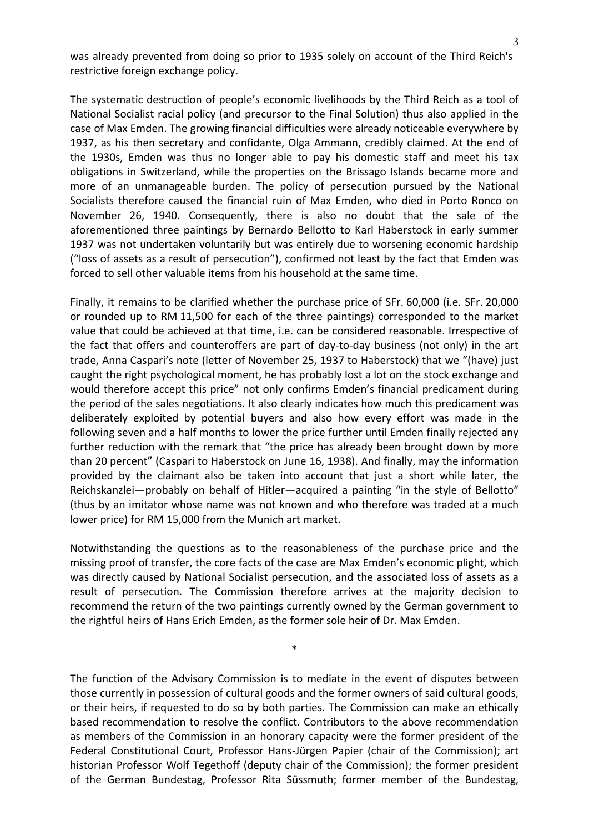was already prevented from doing so prior to 1935 solely on account of the Third Reich's restrictive foreign exchange policy.

The systematic destruction of people's economic livelihoods by the Third Reich as a tool of National Socialist racial policy (and precursor to the Final Solution) thus also applied in the case of Max Emden. The growing financial difficulties were already noticeable everywhere by 1937, as his then secretary and confidante, Olga Ammann, credibly claimed. At the end of the 1930s, Emden was thus no longer able to pay his domestic staff and meet his tax obligations in Switzerland, while the properties on the Brissago Islands became more and more of an unmanageable burden. The policy of persecution pursued by the National Socialists therefore caused the financial ruin of Max Emden, who died in Porto Ronco on November 26, 1940. Consequently, there is also no doubt that the sale of the aforementioned three paintings by Bernardo Bellotto to Karl Haberstock in early summer 1937 was not undertaken voluntarily but was entirely due to worsening economic hardship ("loss of assets as a result of persecution"), confirmed not least by the fact that Emden was forced to sell other valuable items from his household at the same time.

Finally, it remains to be clarified whether the purchase price of SFr. 60,000 (i.e. SFr. 20,000 or rounded up to RM 11,500 for each of the three paintings) corresponded to the market value that could be achieved at that time, i.e. can be considered reasonable. Irrespective of the fact that offers and counteroffers are part of day-to-day business (not only) in the art trade, Anna Caspari's note (letter of November 25, 1937 to Haberstock) that we "(have) just caught the right psychological moment, he has probably lost a lot on the stock exchange and would therefore accept this price" not only confirms Emden's financial predicament during the period of the sales negotiations. It also clearly indicates how much this predicament was deliberately exploited by potential buyers and also how every effort was made in the following seven and a half months to lower the price further until Emden finally rejected any further reduction with the remark that "the price has already been brought down by more than 20 percent" (Caspari to Haberstock on June 16, 1938). And finally, may the information provided by the claimant also be taken into account that just a short while later, the Reichskanzlei—probably on behalf of Hitler—acquired a painting "in the style of Bellotto" (thus by an imitator whose name was not known and who therefore was traded at a much lower price) for RM 15,000 from the Munich art market.

Notwithstanding the questions as to the reasonableness of the purchase price and the missing proof of transfer, the core facts of the case are Max Emden's economic plight, which was directly caused by National Socialist persecution, and the associated loss of assets as a result of persecution. The Commission therefore arrives at the majority decision to recommend the return of the two paintings currently owned by the German government to the rightful heirs of Hans Erich Emden, as the former sole heir of Dr. Max Emden.

\*

The function of the Advisory Commission is to mediate in the event of disputes between those currently in possession of cultural goods and the former owners of said cultural goods, or their heirs, if requested to do so by both parties. The Commission can make an ethically based recommendation to resolve the conflict. Contributors to the above recommendation as members of the Commission in an honorary capacity were the former president of the Federal Constitutional Court, Professor Hans‐Jürgen Papier (chair of the Commission); art historian Professor Wolf Tegethoff (deputy chair of the Commission); the former president of the German Bundestag, Professor Rita Süssmuth; former member of the Bundestag,